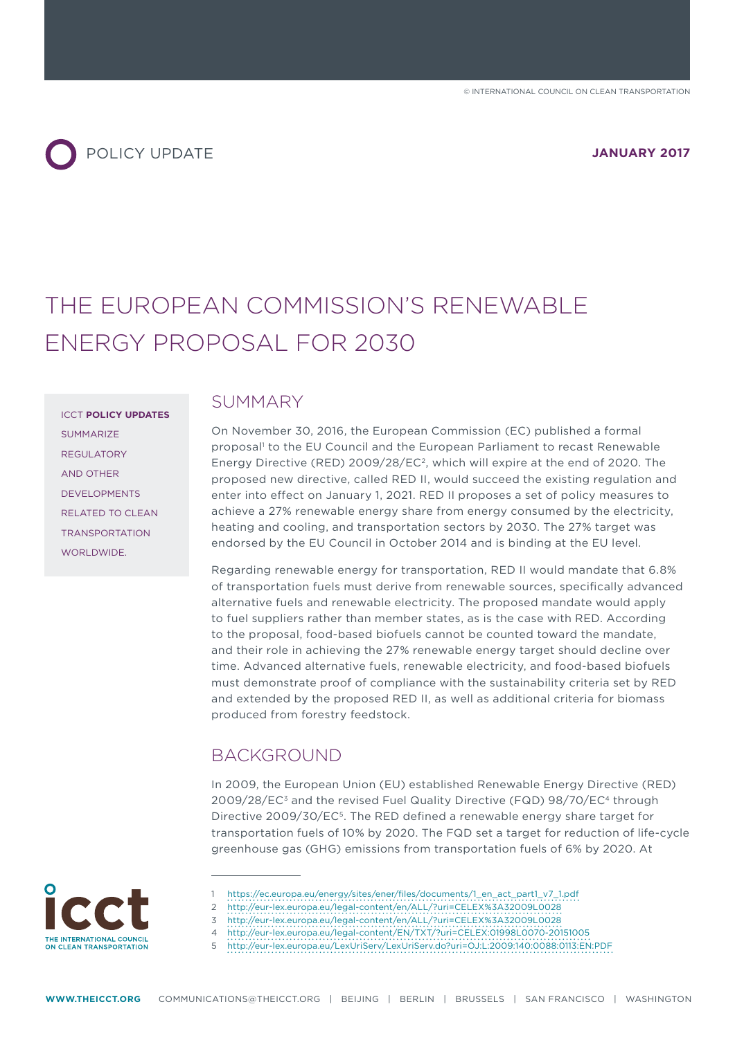

# THE EUROPEAN COMMISSION'S RENEWABLE ENERGY PROPOSAL FOR 2030

ICCT **POLICY UPDATES** SUMMARIZE REGULATORY AND OTHER DEVELOPMENTS RELATED TO CLEAN TRANSPORTATION WORLDWIDE.

#### SUMMARY

On November 30, 2016, the European Commission (EC) published a formal proposal<sup>1</sup> to the EU Council and the European Parliament to recast Renewable Energy Directive (RED) 2009/28/EC2, which will expire at the end of 2020. The proposed new directive, called RED II, would succeed the existing regulation and enter into efect on January 1, 2021. RED II proposes a set of policy measures to achieve a 27% renewable energy share from energy consumed by the electricity, heating and cooling, and transportation sectors by 2030. The 27% target was endorsed by the EU Council in October 2014 and is binding at the EU level.

Regarding renewable energy for transportation, RED II would mandate that 6.8% of transportation fuels must derive from renewable sources, specifically advanced alternative fuels and renewable electricity. The proposed mandate would apply to fuel suppliers rather than member states, as is the case with RED. According to the proposal, food-based biofuels cannot be counted toward the mandate, and their role in achieving the 27% renewable energy target should decline over time. Advanced alternative fuels, renewable electricity, and food-based biofuels must demonstrate proof of compliance with the sustainability criteria set by RED and extended by the proposed RED II, as well as additional criteria for biomass produced from forestry feedstock.

#### BACKGROUND

In 2009, the European Union (EU) established Renewable Energy Directive (RED) 2009/28/EC3 and the revised Fuel Quality Directive (FQD) 98/70/EC4 through Directive 2009/30/EC5. The RED defined a renewable energy share target for transportation fuels of 10% by 2020. The FQD set a target for reduction of life-cycle greenhouse gas (GHG) emissions from transportation fuels of 6% by 2020. At

- THE INTERNATIONAL COUNCIL ON CLEAN TRANSPORTATION
- 1 [https://ec.europa.eu/energy/sites/ener/files/documents/1\\_en\\_act\\_part1\\_v7\\_1.pdf](https://ec.europa.eu/energy/sites/ener/files/documents/1_en_act_part1_v7_1.pdf)
- 2 <http://eur-lex.europa.eu/legal-content/en/ALL/?uri=CELEX%3A32009L0028>
- 3 <http://eur-lex.europa.eu/legal-content/en/ALL/?uri=CELEX%3A32009L0028>
- 4 <http://eur-lex.europa.eu/legal-content/EN/TXT/?uri=CELEX:01998L0070-20151005>

<sup>5</sup> <http://eur-lex.europa.eu/LexUriServ/LexUriServ.do?uri=OJ:L:2009:140:0088:0113:EN:PDF>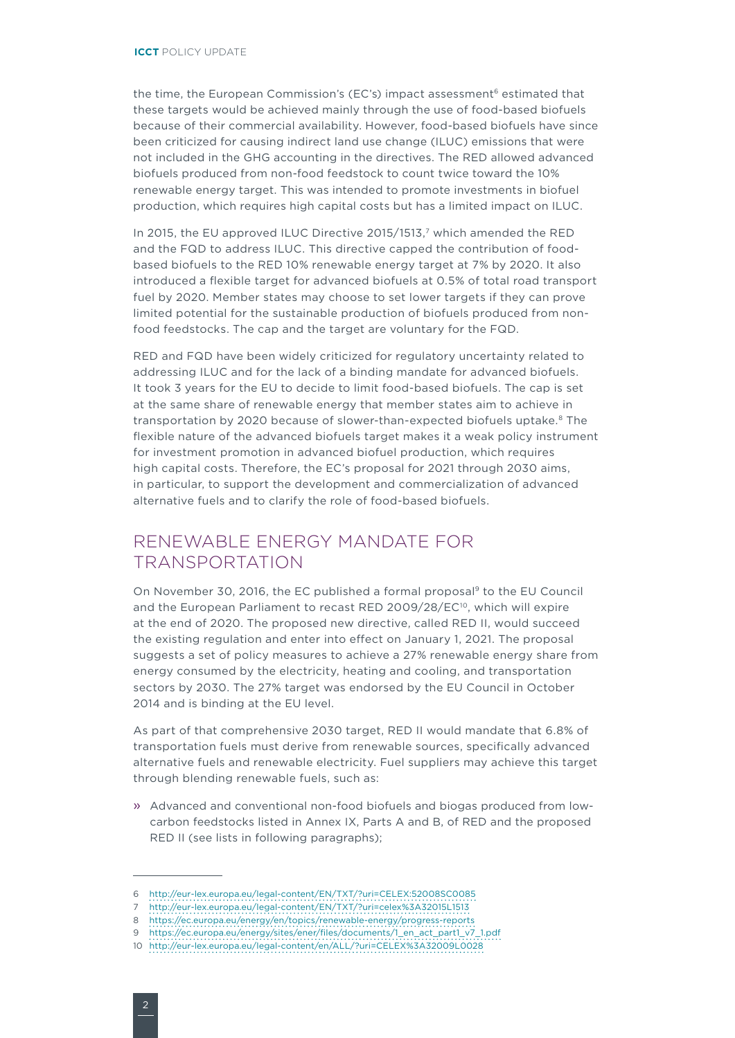the time, the European Commission's (EC's) impact assessment<sup>6</sup> estimated that these targets would be achieved mainly through the use of food-based biofuels because of their commercial availability. However, food-based biofuels have since been criticized for causing indirect land use change (ILUC) emissions that were not included in the GHG accounting in the directives. The RED allowed advanced biofuels produced from non-food feedstock to count twice toward the 10% renewable energy target. This was intended to promote investments in biofuel production, which requires high capital costs but has a limited impact on ILUC.

In 2015, the EU approved ILUC Directive 2015/1513,7 which amended the RED and the FQD to address ILUC. This directive capped the contribution of foodbased biofuels to the RED 10% renewable energy target at 7% by 2020. It also introduced a flexible target for advanced biofuels at 0.5% of total road transport fuel by 2020. Member states may choose to set lower targets if they can prove limited potential for the sustainable production of biofuels produced from nonfood feedstocks. The cap and the target are voluntary for the FQD.

RED and FQD have been widely criticized for regulatory uncertainty related to addressing ILUC and for the lack of a binding mandate for advanced biofuels. It took 3 years for the EU to decide to limit food-based biofuels. The cap is set at the same share of renewable energy that member states aim to achieve in transportation by 2020 because of slower-than-expected biofuels uptake.<sup>8</sup> The flexible nature of the advanced biofuels target makes it a weak policy instrument for investment promotion in advanced biofuel production, which requires high capital costs. Therefore, the EC's proposal for 2021 through 2030 aims, in particular, to support the development and commercialization of advanced alternative fuels and to clarify the role of food-based biofuels.

#### RENEWABLE ENERGY MANDATE FOR TRANSPORTATION

On November 30, 2016, the EC published a formal proposal9 to the EU Council and the European Parliament to recast RED 2009/28/EC<sup>10</sup>, which will expire at the end of 2020. The proposed new directive, called RED II, would succeed the existing regulation and enter into efect on January 1, 2021. The proposal suggests a set of policy measures to achieve a 27% renewable energy share from energy consumed by the electricity, heating and cooling, and transportation sectors by 2030. The 27% target was endorsed by the EU Council in October 2014 and is binding at the EU level.

As part of that comprehensive 2030 target, RED II would mandate that 6.8% of transportation fuels must derive from renewable sources, specifically advanced alternative fuels and renewable electricity. Fuel suppliers may achieve this target through blending renewable fuels, such as:

» Advanced and conventional non-food biofuels and biogas produced from lowcarbon feedstocks listed in Annex IX, Parts A and B, of RED and the proposed RED II (see lists in following paragraphs);

<sup>6</sup> <http://eur-lex.europa.eu/legal-content/EN/TXT/?uri=CELEX:52008SC0085>

<sup>7</sup> <http://eur-lex.europa.eu/legal-content/EN/TXT/?uri=celex%3A32015L1513>

<sup>8</sup> <https://ec.europa.eu/energy/en/topics/renewable-energy/progress-reports>

<sup>9</sup> [https://ec.europa.eu/energy/sites/ener/files/documents/1\\_en\\_act\\_part1\\_v7\\_1.pdf](https://ec.europa.eu/energy/sites/ener/files/documents/1_en_act_part1_v7_1.pdf)

<sup>10</sup> <http://eur-lex.europa.eu/legal-content/en/ALL/?uri=CELEX%3A32009L0028>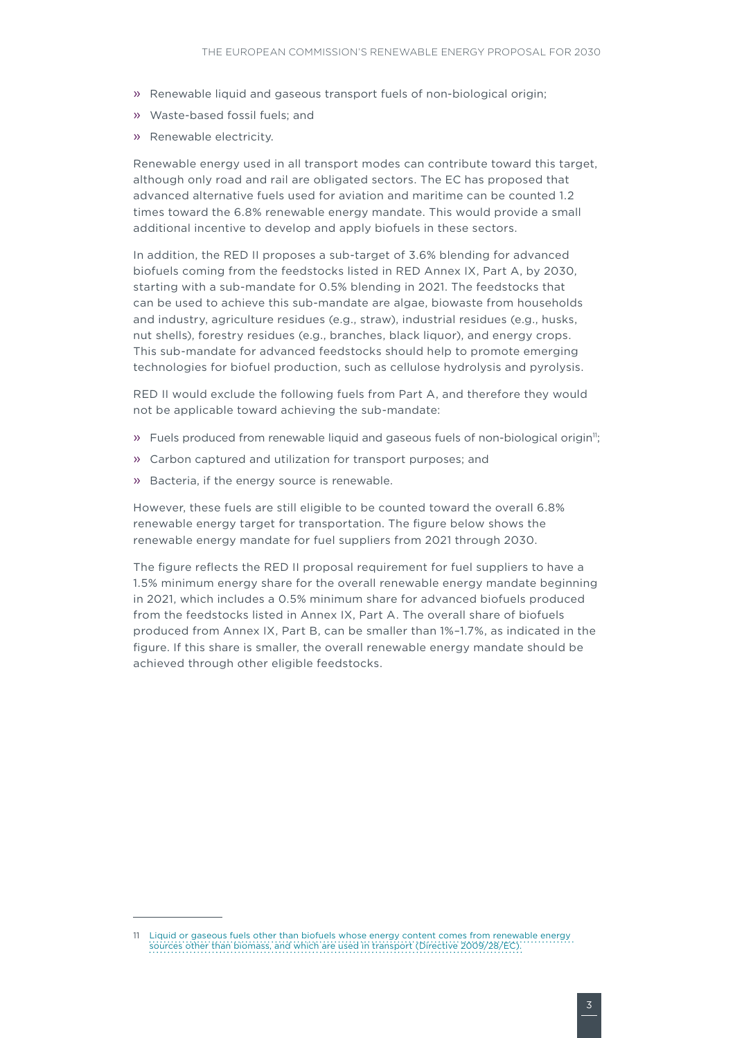- » Renewable liquid and gaseous transport fuels of non-biological origin;
- » Waste-based fossil fuels; and
- » Renewable electricity.

Renewable energy used in all transport modes can contribute toward this target, although only road and rail are obligated sectors. The EC has proposed that advanced alternative fuels used for aviation and maritime can be counted 1.2 times toward the 6.8% renewable energy mandate. This would provide a small additional incentive to develop and apply biofuels in these sectors.

In addition, the RED II proposes a sub-target of 3.6% blending for advanced biofuels coming from the feedstocks listed in RED Annex IX, Part A, by 2030, starting with a sub-mandate for 0.5% blending in 2021. The feedstocks that can be used to achieve this sub-mandate are algae, biowaste from households and industry, agriculture residues (e.g., straw), industrial residues (e.g., husks, nut shells), forestry residues (e.g., branches, black liquor), and energy crops. This sub-mandate for advanced feedstocks should help to promote emerging technologies for biofuel production, such as cellulose hydrolysis and pyrolysis.

RED II would exclude the following fuels from Part A, and therefore they would not be applicable toward achieving the sub-mandate:

- » Fuels produced from renewable liquid and gaseous fuels of non-biological origin<sup>11</sup>;
- » Carbon captured and utilization for transport purposes; and
- » Bacteria, if the energy source is renewable.

However, these fuels are still eligible to be counted toward the overall 6.8% renewable energy target for transportation. The figure below shows the renewable energy mandate for fuel suppliers from 2021 through 2030.

The figure reflects the RED II proposal requirement for fuel suppliers to have a 1.5% minimum energy share for the overall renewable energy mandate beginning in 2021, which includes a 0.5% minimum share for advanced biofuels produced from the feedstocks listed in Annex IX, Part A. The overall share of biofuels produced from Annex IX, Part B, can be smaller than 1%–1.7%, as indicated in the figure. If this share is smaller, the overall renewable energy mandate should be achieved through other eligible feedstocks.

<sup>11</sup> Liquid or gaseous fuels other than biofuels whose energy content comes from renewable energy sources other than biomass, and which are used in transport (Directive 2009/28/EC).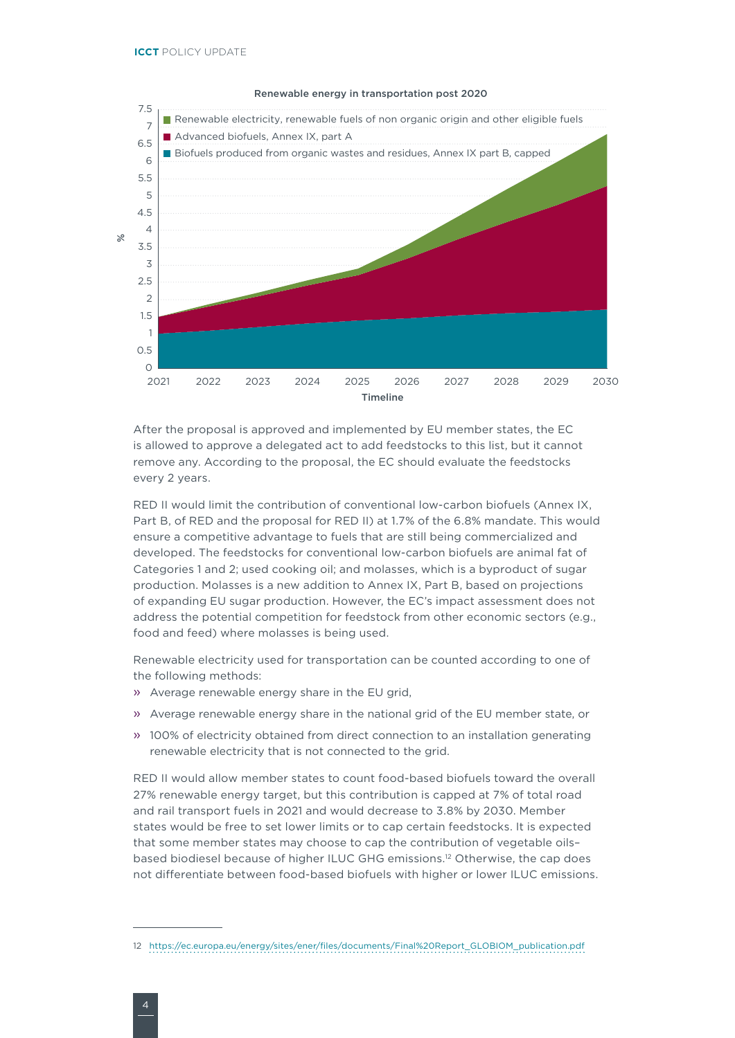

Renewable energy in transportation post 2020

After the proposal is approved and implemented by EU member states, the EC is allowed to approve a delegated act to add feedstocks to this list, but it cannot remove any. According to the proposal, the EC should evaluate the feedstocks every 2 years.

RED II would limit the contribution of conventional low-carbon biofuels (Annex IX, Part B, of RED and the proposal for RED II) at 1.7% of the 6.8% mandate. This would ensure a competitive advantage to fuels that are still being commercialized and developed. The feedstocks for conventional low-carbon biofuels are animal fat of Categories 1 and 2; used cooking oil; and molasses, which is a byproduct of sugar production. Molasses is a new addition to Annex IX, Part B, based on projections of expanding EU sugar production. However, the EC's impact assessment does not address the potential competition for feedstock from other economic sectors (e.g., food and feed) where molasses is being used.

Renewable electricity used for transportation can be counted according to one of the following methods:

- » Average renewable energy share in the EU grid,
- » Average renewable energy share in the national grid of the EU member state, or
- » 100% of electricity obtained from direct connection to an installation generating renewable electricity that is not connected to the grid.

RED II would allow member states to count food-based biofuels toward the overall 27% renewable energy target, but this contribution is capped at 7% of total road and rail transport fuels in 2021 and would decrease to 3.8% by 2030. Member states would be free to set lower limits or to cap certain feedstocks. It is expected that some member states may choose to cap the contribution of vegetable oils– based biodiesel because of higher ILUC GHG emissions.12 Otherwise, the cap does not diferentiate between food-based biofuels with higher or lower ILUC emissions.

<sup>12</sup> [https://ec.europa.eu/energy/sites/ener/files/documents/Final%20Report\\_GLOBIOM\\_publication.pdf](https://ec.europa.eu/energy/sites/ener/files/documents/Final%20Report_GLOBIOM_publication.pdf)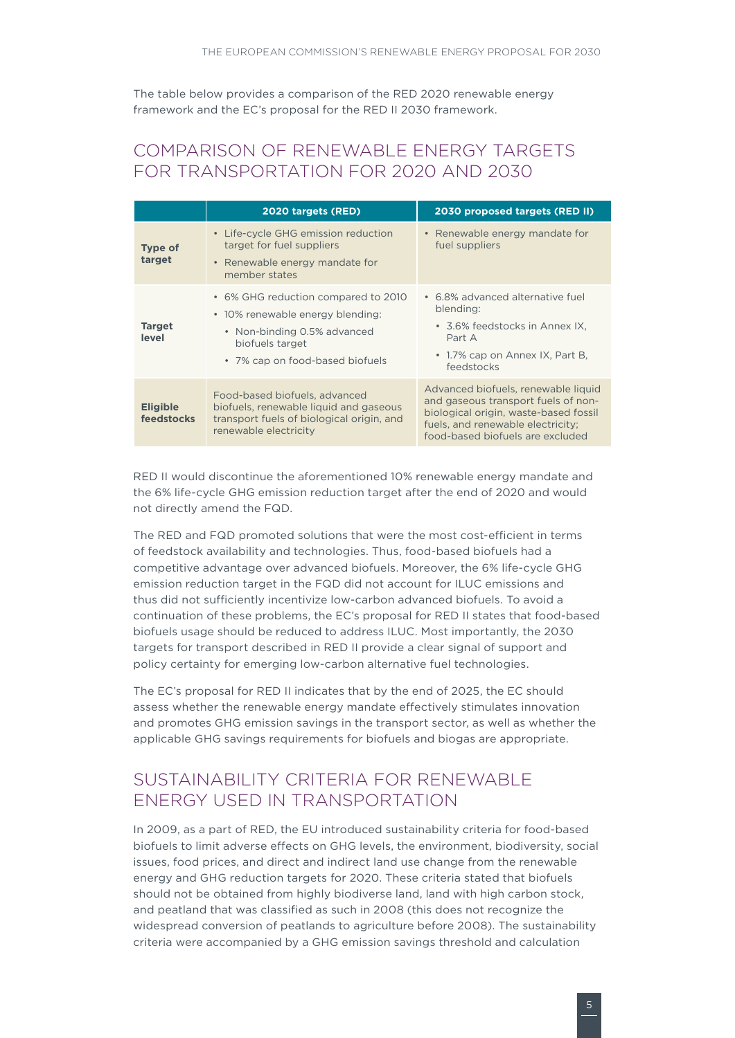The table below provides a comparison of the RED 2020 renewable energy framework and the EC's proposal for the RED II 2030 framework.

## COMPARISON OF RENEWABLE ENERGY TARGETS FOR TRANSPORTATION FOR 2020 AND 2030

|                               | 2020 targets (RED)                                                                                                                                           | 2030 proposed targets (RED II)                                                                                                                                                               |  |
|-------------------------------|--------------------------------------------------------------------------------------------------------------------------------------------------------------|----------------------------------------------------------------------------------------------------------------------------------------------------------------------------------------------|--|
| <b>Type of</b><br>target      | • Life-cycle GHG emission reduction<br>target for fuel suppliers<br>• Renewable energy mandate for<br>member states                                          | • Renewable energy mandate for<br>fuel suppliers                                                                                                                                             |  |
| <b>Target</b><br>level        | • 6% GHG reduction compared to 2010<br>• 10% renewable energy blending:<br>• Non-binding 0.5% advanced<br>biofuels target<br>• 7% cap on food-based biofuels | • 6.8% advanced alternative fuel<br>blending:<br>• 3.6% feedstocks in Annex IX,<br>Part A<br>• 1.7% cap on Annex IX, Part B,<br>feedstocks                                                   |  |
| <b>Eligible</b><br>feedstocks | Food-based biofuels, advanced<br>biofuels, renewable liquid and gaseous<br>transport fuels of biological origin, and<br>renewable electricity                | Advanced biofuels, renewable liquid<br>and gaseous transport fuels of non-<br>biological origin, waste-based fossil<br>fuels, and renewable electricity;<br>food-based biofuels are excluded |  |

RED II would discontinue the aforementioned 10% renewable energy mandate and the 6% life-cycle GHG emission reduction target after the end of 2020 and would not directly amend the FQD.

The RED and FQD promoted solutions that were the most cost-efficient in terms of feedstock availability and technologies. Thus, food-based biofuels had a competitive advantage over advanced biofuels. Moreover, the 6% life-cycle GHG emission reduction target in the FQD did not account for ILUC emissions and thus did not sufficiently incentivize low-carbon advanced biofuels. To avoid a continuation of these problems, the EC's proposal for RED II states that food-based biofuels usage should be reduced to address ILUC. Most importantly, the 2030 targets for transport described in RED II provide a clear signal of support and policy certainty for emerging low-carbon alternative fuel technologies.

The EC's proposal for RED II indicates that by the end of 2025, the EC should assess whether the renewable energy mandate efectively stimulates innovation and promotes GHG emission savings in the transport sector, as well as whether the applicable GHG savings requirements for biofuels and biogas are appropriate.

### SUSTAINABILITY CRITERIA FOR RENEWABLE ENERGY USED IN TRANSPORTATION

In 2009, as a part of RED, the EU introduced sustainability criteria for food-based biofuels to limit adverse efects on GHG levels, the environment, biodiversity, social issues, food prices, and direct and indirect land use change from the renewable energy and GHG reduction targets for 2020. These criteria stated that biofuels should not be obtained from highly biodiverse land, land with high carbon stock, and peatland that was classified as such in 2008 (this does not recognize the widespread conversion of peatlands to agriculture before 2008). The sustainability criteria were accompanied by a GHG emission savings threshold and calculation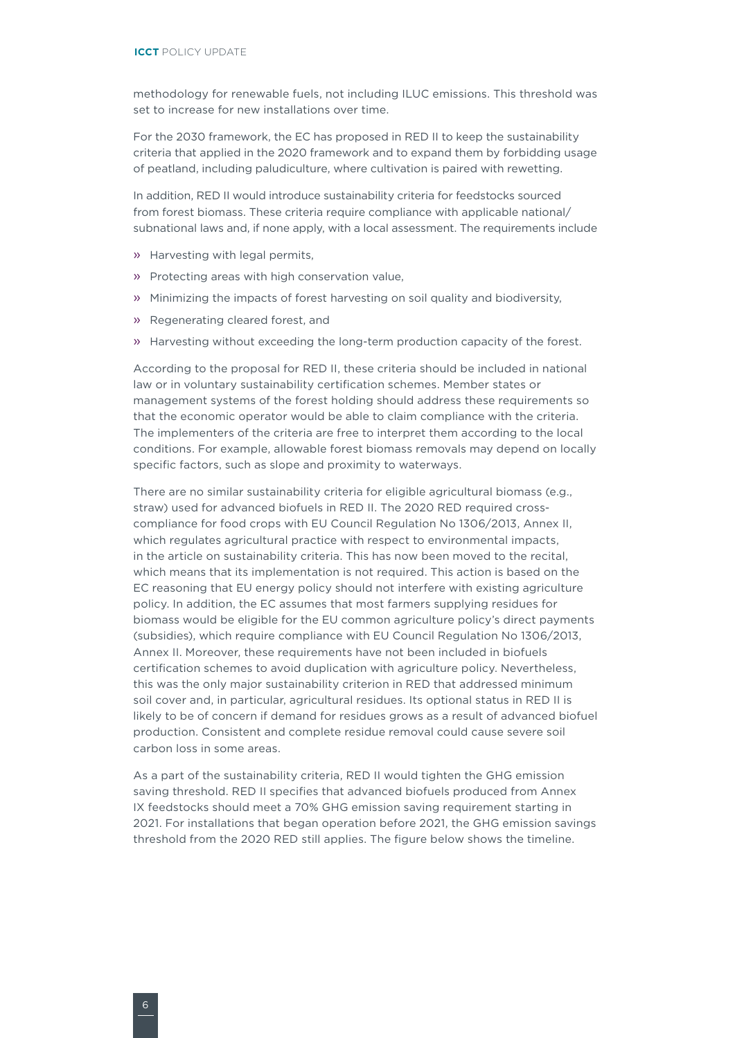methodology for renewable fuels, not including ILUC emissions. This threshold was set to increase for new installations over time.

For the 2030 framework, the EC has proposed in RED II to keep the sustainability criteria that applied in the 2020 framework and to expand them by forbidding usage of peatland, including paludiculture, where cultivation is paired with rewetting.

In addition, RED II would introduce sustainability criteria for feedstocks sourced from forest biomass. These criteria require compliance with applicable national/ subnational laws and, if none apply, with a local assessment. The requirements include

- » Harvesting with legal permits,
- » Protecting areas with high conservation value,
- » Minimizing the impacts of forest harvesting on soil quality and biodiversity,
- » Regenerating cleared forest, and
- » Harvesting without exceeding the long-term production capacity of the forest.

According to the proposal for RED II, these criteria should be included in national law or in voluntary sustainability certification schemes. Member states or management systems of the forest holding should address these requirements so that the economic operator would be able to claim compliance with the criteria. The implementers of the criteria are free to interpret them according to the local conditions. For example, allowable forest biomass removals may depend on locally specific factors, such as slope and proximity to waterways.

There are no similar sustainability criteria for eligible agricultural biomass (e.g., straw) used for advanced biofuels in RED II. The 2020 RED required crosscompliance for food crops with EU Council Regulation No 1306/2013, Annex II, which regulates agricultural practice with respect to environmental impacts, in the article on sustainability criteria. This has now been moved to the recital, which means that its implementation is not required. This action is based on the EC reasoning that EU energy policy should not interfere with existing agriculture policy. In addition, the EC assumes that most farmers supplying residues for biomass would be eligible for the EU common agriculture policy's direct payments (subsidies), which require compliance with EU Council Regulation No 1306/2013, Annex II. Moreover, these requirements have not been included in biofuels certification schemes to avoid duplication with agriculture policy. Nevertheless, this was the only major sustainability criterion in RED that addressed minimum soil cover and, in particular, agricultural residues. Its optional status in RED II is likely to be of concern if demand for residues grows as a result of advanced biofuel production. Consistent and complete residue removal could cause severe soil carbon loss in some areas.

As a part of the sustainability criteria, RED II would tighten the GHG emission saving threshold. RED II specifies that advanced biofuels produced from Annex IX feedstocks should meet a 70% GHG emission saving requirement starting in 2021. For installations that began operation before 2021, the GHG emission savings threshold from the 2020 RED still applies. The figure below shows the timeline.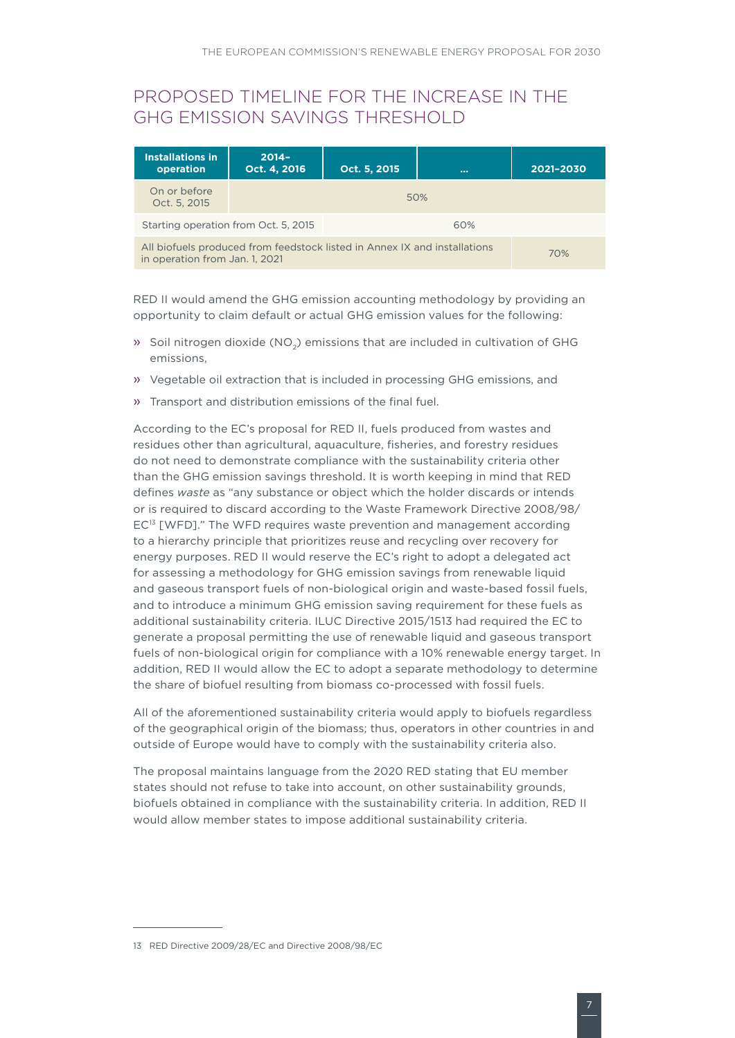#### PROPOSED TIMELINE FOR THE INCREASE IN THE GHG EMISSION SAVINGS THRESHOLD

| <b>Installations in</b><br>operation                                                                        | $2014 -$<br>Oct. 4, 2016 | Oct. 5, 2015 | 1000 | 2021-2030 |
|-------------------------------------------------------------------------------------------------------------|--------------------------|--------------|------|-----------|
| On or before<br>Oct. 5, 2015                                                                                | 50%                      |              |      |           |
| Starting operation from Oct. 5, 2015                                                                        |                          | 60%          |      |           |
| All biofuels produced from feedstock listed in Annex IX and installations<br>in operation from Jan. 1, 2021 | 70%                      |              |      |           |

RED II would amend the GHG emission accounting methodology by providing an opportunity to claim default or actual GHG emission values for the following:

- » Soil nitrogen dioxide (NO<sub>2</sub>) emissions that are included in cultivation of GHG emissions,
- » Vegetable oil extraction that is included in processing GHG emissions, and
- » Transport and distribution emissions of the final fuel.

According to the EC's proposal for RED II, fuels produced from wastes and residues other than agricultural, aquaculture, fisheries, and forestry residues do not need to demonstrate compliance with the sustainability criteria other than the GHG emission savings threshold. It is worth keeping in mind that RED defines *waste* as "any substance or object which the holder discards or intends or is required to discard according to the Waste Framework Directive 2008/98/ EC<sup>13</sup> [WFD]." The WFD requires waste prevention and management according to a hierarchy principle that prioritizes reuse and recycling over recovery for energy purposes. RED II would reserve the EC's right to adopt a delegated act for assessing a methodology for GHG emission savings from renewable liquid and gaseous transport fuels of non-biological origin and waste-based fossil fuels, and to introduce a minimum GHG emission saving requirement for these fuels as additional sustainability criteria. ILUC Directive 2015/1513 had required the EC to generate a proposal permitting the use of renewable liquid and gaseous transport fuels of non-biological origin for compliance with a 10% renewable energy target. In addition, RED II would allow the EC to adopt a separate methodology to determine the share of biofuel resulting from biomass co-processed with fossil fuels.

All of the aforementioned sustainability criteria would apply to biofuels regardless of the geographical origin of the biomass; thus, operators in other countries in and outside of Europe would have to comply with the sustainability criteria also.

The proposal maintains language from the 2020 RED stating that EU member states should not refuse to take into account, on other sustainability grounds, biofuels obtained in compliance with the sustainability criteria. In addition, RED II would allow member states to impose additional sustainability criteria.

<sup>13</sup> RED Directive 2009/28/EC and Directive 2008/98/EC